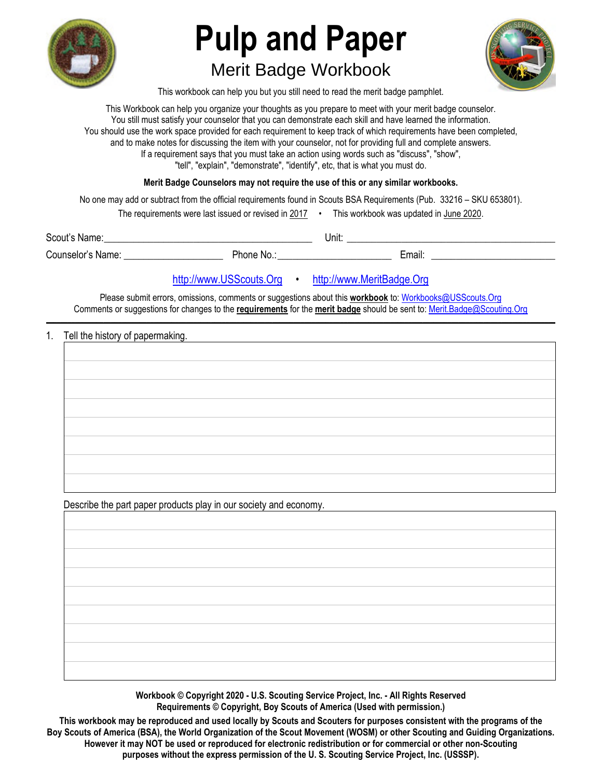

# **Pulp and Paper**  Merit Badge Workbook



This workbook can help you but you still need to read the merit badge pamphlet.

This Workbook can help you organize your thoughts as you prepare to meet with your merit badge counselor. You still must satisfy your counselor that you can demonstrate each skill and have learned the information. You should use the work space provided for each requirement to keep track of which requirements have been completed, and to make notes for discussing the item with your counselor, not for providing full and complete answers. If a requirement says that you must take an action using words such as "discuss", "show", "tell", "explain", "demonstrate", "identify", etc, that is what you must do.

**Merit Badge Counselors may not require the use of this or any similar workbooks.**

No one may add or subtract from the official requirements found in Scouts BSA Requirements (Pub. 33216 – SKU 653801).

The requirements were last issued or revised in 2017 • This workbook was updated in June 2020.

Scout's Name: \_\_\_\_\_\_\_\_\_\_\_\_\_\_\_\_\_\_\_\_\_\_\_\_\_\_\_\_\_\_\_\_\_\_\_\_\_\_\_\_\_\_ Unit: \_\_\_\_\_\_\_\_\_\_\_\_\_\_\_\_\_\_\_\_\_\_\_\_\_\_\_\_\_\_\_\_\_\_\_\_\_\_\_\_\_\_ Counselor's Name: \_\_\_\_\_\_\_\_\_\_\_\_\_\_\_\_\_\_\_\_ Phone No.: \_\_\_\_\_\_\_\_\_\_\_\_\_\_\_\_\_\_\_\_\_\_\_ Email: \_\_\_\_\_\_\_\_\_\_\_\_\_\_\_\_\_\_\_\_\_\_\_\_\_

http://www.USScouts.Org • http://www.MeritBadge.Org

Please submit errors, omissions, comments or suggestions about this **workbook** to: Workbooks@USScouts.Org

Comments or suggestions for changes to the **requirements** for the **merit badge** should be sent to: Merit.Badge@Scouting.Org *\_\_\_\_\_\_\_\_\_\_\_\_\_\_\_\_\_\_\_\_\_\_\_\_\_\_\_\_\_\_\_\_\_\_\_\_\_\_\_\_\_\_\_\_\_\_\_\_\_\_\_\_\_\_\_\_\_\_\_\_\_\_\_\_\_\_\_\_\_\_\_\_\_\_\_\_\_\_\_\_\_\_\_\_\_\_\_\_\_\_\_\_\_\_\_\_\_\_\_\_\_\_\_\_\_\_\_\_\_\_\_\_\_\_\_\_\_\_\_\_\_\_\_\_\_\_\_\_\_\_\_\_\_\_\_\_\_\_\_\_\_\_* 

#### 1. Tell the history of papermaking.

Describe the part paper products play in our society and economy.

**Workbook © Copyright 2020 - U.S. Scouting Service Project, Inc. - All Rights Reserved Requirements © Copyright, Boy Scouts of America (Used with permission.)** 

**This workbook may be reproduced and used locally by Scouts and Scouters for purposes consistent with the programs of the Boy Scouts of America (BSA), the World Organization of the Scout Movement (WOSM) or other Scouting and Guiding Organizations. However it may NOT be used or reproduced for electronic redistribution or for commercial or other non-Scouting purposes without the express permission of the U. S. Scouting Service Project, Inc. (USSSP).**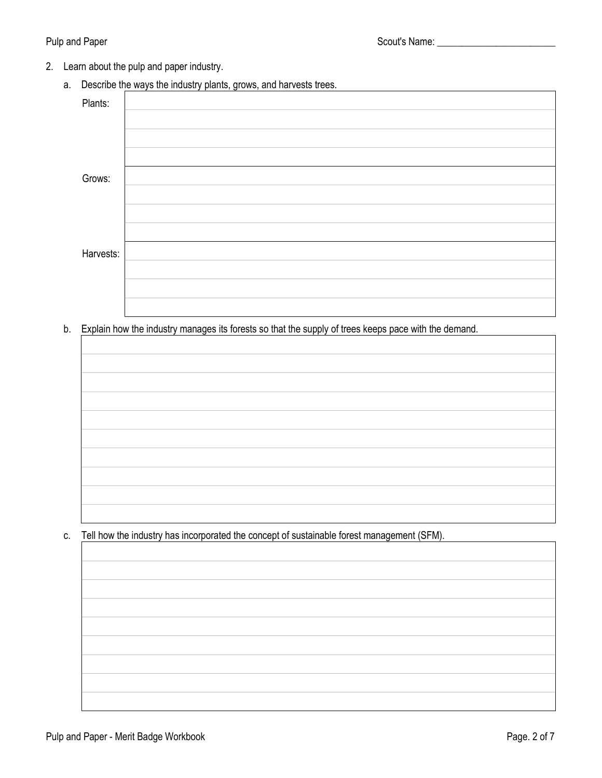- 2. Learn about the pulp and paper industry.
	- a. Describe the ways the industry plants, grows, and harvests trees.

| Plants:   |  |
|-----------|--|
|           |  |
|           |  |
|           |  |
| Grows:    |  |
|           |  |
|           |  |
|           |  |
| Harvests: |  |
|           |  |
|           |  |
|           |  |

b. Explain how the industry manages its forests so that the supply of trees keeps pace with the demand.

c. Tell how the industry has incorporated the concept of sustainable forest management (SFM).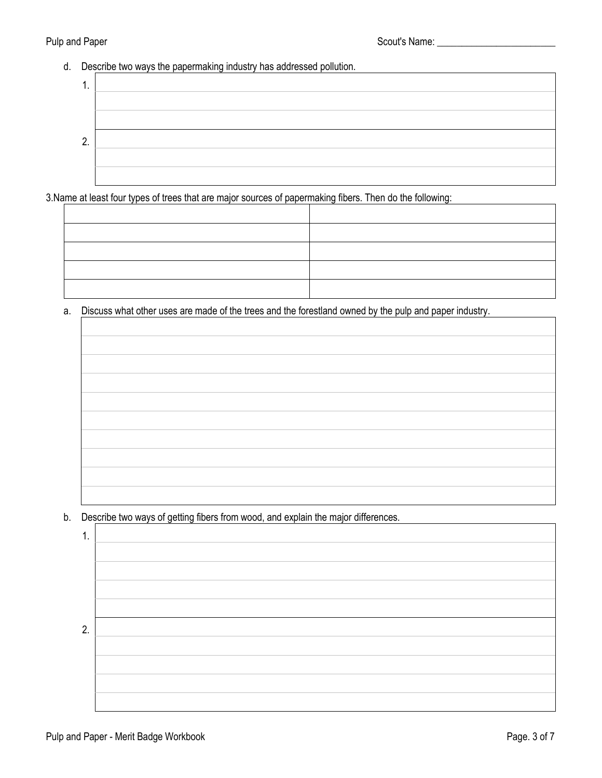# Pulp and Paper Scout's Name: \_\_\_\_\_\_\_\_\_\_\_\_\_\_\_\_\_\_\_\_\_\_\_\_

#### d. Describe two ways the papermaking industry has addressed pollution.



3. Name at least four types of trees that are major sources of papermaking fibers. Then do the following:

a. Discuss what other uses are made of the trees and the forestland owned by the pulp and paper industry.

b. Describe two ways of getting fibers from wood, and explain the major differences.

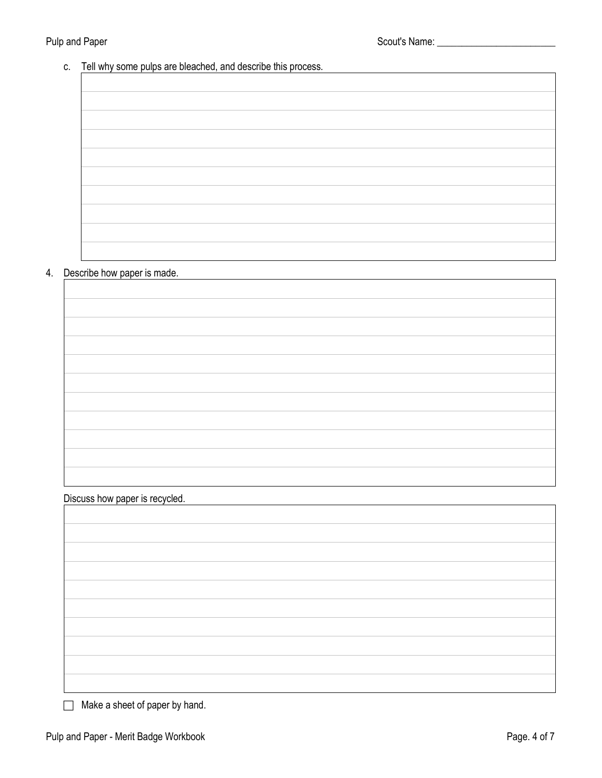# Pulp and Paper Scout's Name: \_\_\_\_\_\_\_\_\_\_\_\_\_\_\_\_\_\_\_\_\_\_\_\_

# c. Tell why some pulps are bleached, and describe this process.

#### 4. Describe how paper is made.

Discuss how paper is recycled.

 $\Box$  Make a sheet of paper by hand.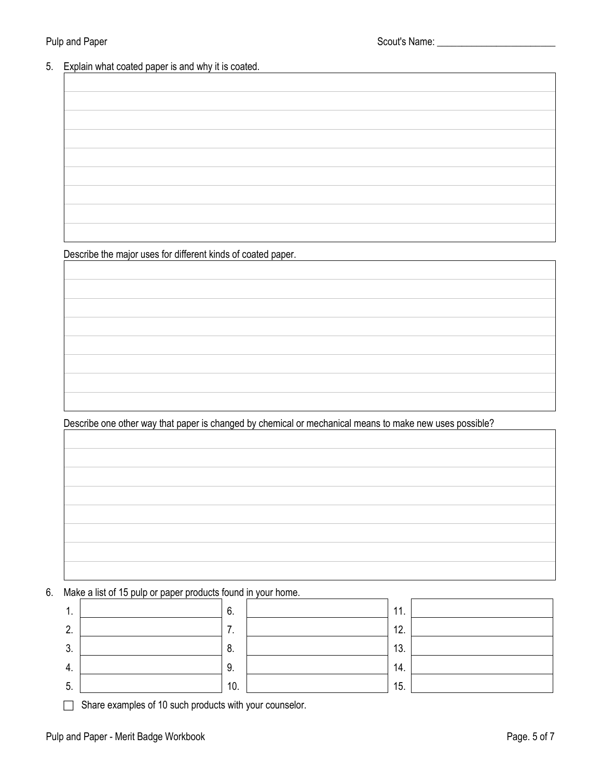# 5. Explain what coated paper is and why it is coated.

| the control of the control of the control of the control of the control of |
|----------------------------------------------------------------------------|
|                                                                            |
|                                                                            |
|                                                                            |
|                                                                            |
|                                                                            |
|                                                                            |
|                                                                            |
|                                                                            |
|                                                                            |
|                                                                            |

Describe the major uses for different kinds of coated paper.

Describe one other way that paper is changed by chemical or mechanical means to make new uses possible?

|  |  |  | 6. Make a list of 15 pulp or paper products found in your home. |  |
|--|--|--|-----------------------------------------------------------------|--|

| 1. | 6.  | 11. |  |
|----|-----|-----|--|
| 2. | . . | 12. |  |
| 3. | 8.  | 13. |  |
| 4. | 9.  | 14. |  |
| 5. | 10. | 15. |  |

Share examples of 10 such products with your counselor.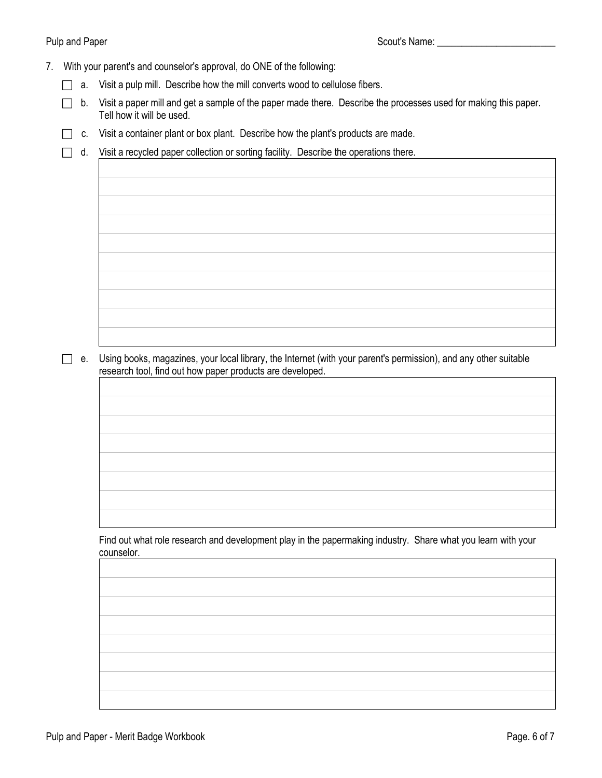#### Pulp and Paper Scout's Name: \_\_\_\_\_\_\_\_\_\_\_\_\_\_\_\_\_\_\_\_\_\_\_\_

- 7. With your parent's and counselor's approval, do ONE of the following:
	- $\Box$  a. Visit a pulp mill. Describe how the mill converts wood to cellulose fibers.
	- $\Box$  b. Visit a paper mill and get a sample of the paper made there. Describe the processes used for making this paper. Tell how it will be used.
	- $\Box$  c. Visit a container plant or box plant. Describe how the plant's products are made.
	- $\Box$  d. Visit a recycled paper collection or sorting facility. Describe the operations there.

 $\Box$  e. Using books, magazines, your local library, the Internet (with your parent's permission), and any other suitable research tool, find out how paper products are developed.

Find out what role research and development play in the papermaking industry. Share what you learn with your counselor.